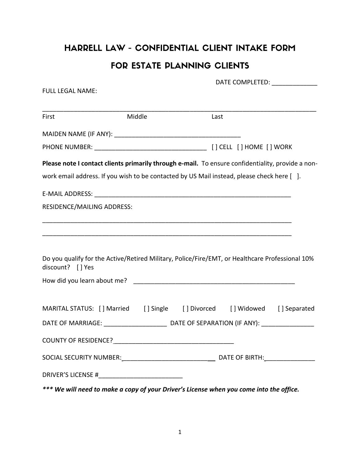## HARRELL LAW - CONFIDENTIAL CLIENT INTAKE FORM FOR ESTATE PLANNING CLIENTS

| <b>FULL LEGAL NAME:</b>                                                                           |        |      | DATE COMPLETED: ______________ |  |
|---------------------------------------------------------------------------------------------------|--------|------|--------------------------------|--|
|                                                                                                   |        |      |                                |  |
| First                                                                                             | Middle | Last |                                |  |
|                                                                                                   |        |      |                                |  |
|                                                                                                   |        |      |                                |  |
| Please note I contact clients primarily through e-mail. To ensure confidentiality, provide a non- |        |      |                                |  |
| work email address. If you wish to be contacted by US Mail instead, please check here [ ].        |        |      |                                |  |
|                                                                                                   |        |      |                                |  |
| RESIDENCE/MAILING ADDRESS:                                                                        |        |      |                                |  |
|                                                                                                   |        |      |                                |  |
|                                                                                                   |        |      |                                |  |
| Do you qualify for the Active/Retired Military, Police/Fire/EMT, or Healthcare Professional 10%   |        |      |                                |  |
| discount? [] Yes                                                                                  |        |      |                                |  |
|                                                                                                   |        |      |                                |  |
| MARITAL STATUS: [] Married [] Single [] Divorced [] Widowed [] Separated                          |        |      |                                |  |
|                                                                                                   |        |      |                                |  |
|                                                                                                   |        |      |                                |  |
| <b>COUNTY OF RESIDENCE?</b>                                                                       |        |      |                                |  |
|                                                                                                   |        |      |                                |  |
|                                                                                                   |        |      |                                |  |
| *** We will need to make a copy of your Driver's License when you come into the office.           |        |      |                                |  |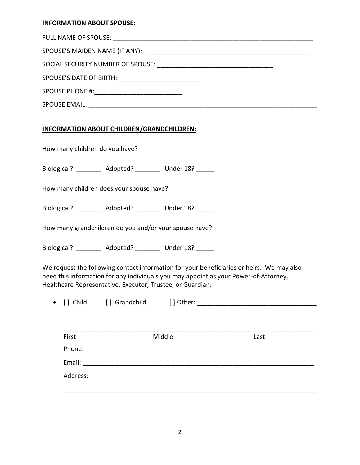## **INFORMATION ABOUT SPOUSE:**

| SPOUSE'S DATE OF BIRTH: ______________________________ |  |
|--------------------------------------------------------|--|
|                                                        |  |
|                                                        |  |

## **INFORMATION ABOUT CHILDREN/GRANDCHILDREN:**

How many children do you have?

Biological? Adopted? Under 18?

How many children does your spouse have?

Biological? Adopted? Under 18?

How many grandchildren do you and/or your spouse have?

Biological? \_\_\_\_\_\_\_\_ Adopted? \_\_\_\_\_\_\_ Under 18? \_\_\_\_\_

We request the following contact information for your beneficiaries or heirs. We may also need this information for any individuals you may appoint as your Power-of-Attorney, Healthcare Representative, Executor, Trustee, or Guardian:

| $\bullet$ [] Child | [] Grandchild | [ ] Other: |
|--------------------|---------------|------------|
|                    |               |            |

| First    | Middle | Last |  |
|----------|--------|------|--|
| Phone:   |        |      |  |
| Email:   |        |      |  |
| Address: |        |      |  |
|          |        |      |  |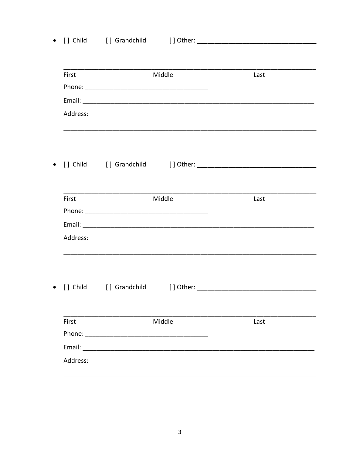| First    |                                                                                                                                                                                                                                | Middle | Last |
|----------|--------------------------------------------------------------------------------------------------------------------------------------------------------------------------------------------------------------------------------|--------|------|
|          |                                                                                                                                                                                                                                |        |      |
|          |                                                                                                                                                                                                                                |        |      |
| Address: |                                                                                                                                                                                                                                |        |      |
|          |                                                                                                                                                                                                                                |        |      |
|          |                                                                                                                                                                                                                                |        |      |
|          |                                                                                                                                                                                                                                |        |      |
| First    |                                                                                                                                                                                                                                | Middle | Last |
|          |                                                                                                                                                                                                                                |        |      |
|          |                                                                                                                                                                                                                                |        |      |
| Address: |                                                                                                                                                                                                                                |        |      |
|          |                                                                                                                                                                                                                                |        |      |
|          |                                                                                                                                                                                                                                |        |      |
|          |                                                                                                                                                                                                                                |        |      |
| First    |                                                                                                                                                                                                                                | Middle | Last |
|          | Phone: The contract of the contract of the contract of the contract of the contract of the contract of the contract of the contract of the contract of the contract of the contract of the contract of the contract of the con |        |      |
|          |                                                                                                                                                                                                                                |        |      |
| Address: |                                                                                                                                                                                                                                |        |      |

 $\overline{a}$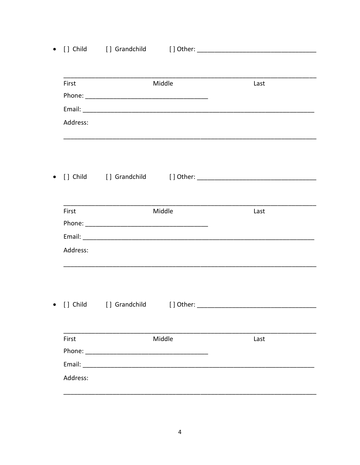| First    |               | Middle                                                                                                                                                                                                                         | Last |  |
|----------|---------------|--------------------------------------------------------------------------------------------------------------------------------------------------------------------------------------------------------------------------------|------|--|
|          |               |                                                                                                                                                                                                                                |      |  |
|          |               |                                                                                                                                                                                                                                |      |  |
|          |               |                                                                                                                                                                                                                                |      |  |
| Address: |               |                                                                                                                                                                                                                                |      |  |
|          |               |                                                                                                                                                                                                                                |      |  |
|          |               |                                                                                                                                                                                                                                |      |  |
| First    |               | Middle                                                                                                                                                                                                                         | Last |  |
|          |               |                                                                                                                                                                                                                                |      |  |
|          |               |                                                                                                                                                                                                                                |      |  |
| Address: |               |                                                                                                                                                                                                                                |      |  |
|          |               |                                                                                                                                                                                                                                |      |  |
| [] Child | [] Grandchild | [] Other:                                                                                                                                                                                                                      |      |  |
| First    | Middle        |                                                                                                                                                                                                                                | Last |  |
|          |               |                                                                                                                                                                                                                                |      |  |
|          |               | Email: Email: All and the state of the state of the state of the state of the state of the state of the state of the state of the state of the state of the state of the state of the state of the state of the state of the s |      |  |